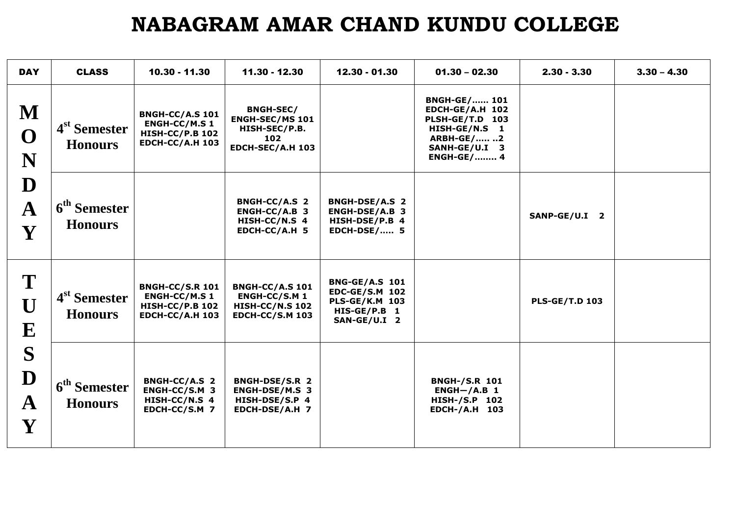## **NABAGRAM AMAR CHAND KUNDU COLLEGE**

| <b>DAY</b>                           | <b>CLASS</b>                               | 10.30 - 11.30                                                                                      | 11.30 - 12.30                                                                                      | 12.30 - 01.30                                                                                             | $01.30 - 02.30$                                                                                                                       | $2.30 - 3.30$         | $3.30 - 4.30$ |
|--------------------------------------|--------------------------------------------|----------------------------------------------------------------------------------------------------|----------------------------------------------------------------------------------------------------|-----------------------------------------------------------------------------------------------------------|---------------------------------------------------------------------------------------------------------------------------------------|-----------------------|---------------|
| M<br>$\mathbf 0$<br>N                | 4 <sup>st</sup> Semester<br><b>Honours</b> | <b>BNGH-CC/A.S 101</b><br><b>ENGH-CC/M.S 1</b><br><b>HISH-CC/P.B 102</b><br><b>EDCH-CC/A.H 103</b> | <b>BNGH-SEC/</b><br><b>ENGH-SEC/MS 101</b><br>HISH-SEC/P.B.<br>102<br>EDCH-SEC/A.H 103             |                                                                                                           | <b>BNGH-GE/ 101</b><br>EDCH-GE/A.H 102<br>PLSH-GE/T.D 103<br>HISH-GE/N.S 1<br><b>ARBH-GE/ 2</b><br>SANH-GE/U.I 3<br><b>ENGH-GE/ 4</b> |                       |               |
| D<br>$\mathbf A$<br>Y                | 6 <sup>th</sup> Semester<br><b>Honours</b> |                                                                                                    | BNGH-CC/A.S 2<br>ENGH-CC/A.B 3<br>HISH-CC/N.S 4<br>EDCH-CC/A.H 5                                   | <b>BNGH-DSE/A.S 2</b><br>ENGH-DSE/A.B 3<br>HISH-DSE/P.B 4<br><b>EDCH-DSE/ 5</b>                           |                                                                                                                                       | SANP-GE/U.I 2         |               |
| T<br>U<br>E                          | 4 <sup>st</sup> Semester<br><b>Honours</b> | <b>BNGH-CC/S.R 101</b><br><b>ENGH-CC/M.S 1</b><br><b>HISH-CC/P.B 102</b><br><b>EDCH-CC/A.H 103</b> | <b>BNGH-CC/A.S 101</b><br><b>ENGH-CC/S.M 1</b><br><b>HISH-CC/N.S 102</b><br><b>EDCH-CC/S.M 103</b> | <b>BNG-GE/A.S 101</b><br><b>EDC-GE/S.M 102</b><br><b>PLS-GE/K.M 103</b><br>$HIS-GE/P.B$ 1<br>SAN-GE/U.I 2 |                                                                                                                                       | <b>PLS-GE/T.D 103</b> |               |
| S<br>D<br>$\mathbf A$<br>$\mathbf Y$ | 6 <sup>th</sup> Semester<br><b>Honours</b> | <b>BNGH-CC/A.S 2</b><br>ENGH-CC/S.M 3<br>HISH-CC/N.S 4<br>EDCH-CC/S.M 7                            | <b>BNGH-DSE/S.R 2</b><br>ENGH-DSE/M.S 3<br>HISH-DSE/S.P 4<br>EDCH-DSE/A.H 7                        |                                                                                                           | <b>BNGH-/S.R 101</b><br>$ENGH-/A.B$ 1<br><b>HISH-/S.P 102</b><br><b>EDCH-/A.H 103</b>                                                 |                       |               |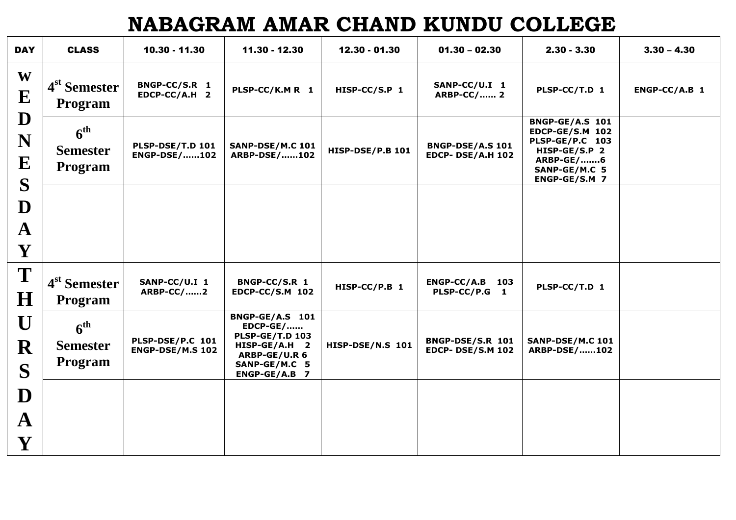## **NABAGRAM AMAR CHAND KUNDU COLLEGE**

| <b>DAY</b>                        | <b>CLASS</b>                                         | 10.30 - 11.30                               | 11.30 - 12.30                                                                                                                           | 12.30 - 01.30           | $01.30 - 02.30$                              | $2.30 - 3.30$                                                                                                                | $3.30 - 4.30$ |
|-----------------------------------|------------------------------------------------------|---------------------------------------------|-----------------------------------------------------------------------------------------------------------------------------------------|-------------------------|----------------------------------------------|------------------------------------------------------------------------------------------------------------------------------|---------------|
| W<br>$\bf{E}$                     | 4 <sup>st</sup> Semester<br>Program                  | BNGP-CC/S.R 1<br>EDCP-CC/A.H 2              | PLSP-CC/K.M R 1                                                                                                                         | HISP-CC/S.P 1           | SANP-CC/U.I 1<br><b>ARBP-CC/ 2</b>           | PLSP-CC/T.D 1                                                                                                                | ENGP-CC/A.B 1 |
| D<br>N<br>$\bf{E}$<br>S           | 6 <sup>th</sup><br><b>Semester</b><br>Program        | PLSP-DSE/T.D 101<br><b>ENGP-DSE/102</b>     | SANP-DSE/M.C 101<br><b>ARBP-DSE/102</b>                                                                                                 | <b>HISP-DSE/P.B 101</b> | BNGP-DSE/A.S 101<br><b>EDCP- DSE/A.H 102</b> | <b>BNGP-GE/A.S 101</b><br>EDCP-GE/S.M 102<br>PLSP-GE/P.C 103<br>HISP-GE/S.P 2<br>ARBP-GE/6<br>SANP-GE/M.C 5<br>ENGP-GE/S.M 7 |               |
| D<br>$\mathbf{A}$<br>Y            |                                                      |                                             |                                                                                                                                         |                         |                                              |                                                                                                                              |               |
| T<br>$\bf H$                      | 4 <sup>st</sup> Semester<br><b>Program</b>           | SANP-CC/U.I 1<br><b>ARBP-CC/2</b>           | BNGP-CC/S.R 1<br><b>EDCP-CC/S.M 102</b>                                                                                                 | HISP-CC/P.B 1           | $ENGP-CC/A.B$ 103<br>PLSP-CC/P.G 1           | PLSP-CC/T.D 1                                                                                                                |               |
| U<br>$\mathbf R$<br>S             | 6 <sup>th</sup><br><b>Semester</b><br><b>Program</b> | PLSP-DSE/P.C 101<br><b>ENGP-DSE/M.S 102</b> | <b>BNGP-GE/A.S 101</b><br><b>EDCP-GE/</b><br><b>PLSP-GE/T.D 103</b><br>HISP-GE/A.H 2<br>ARBP-GE/U.R 6<br>SANP-GE/M.C 5<br>ENGP-GE/A.B 7 | HISP-DSE/N.S 101        | BNGP-DSE/S.R 101<br><b>EDCP- DSE/S.M 102</b> | SANP-DSE/M.C 101<br><b>ARBP-DSE/102</b>                                                                                      |               |
| D<br>$\mathbf{A}$<br>$\mathbf{Y}$ |                                                      |                                             |                                                                                                                                         |                         |                                              |                                                                                                                              |               |